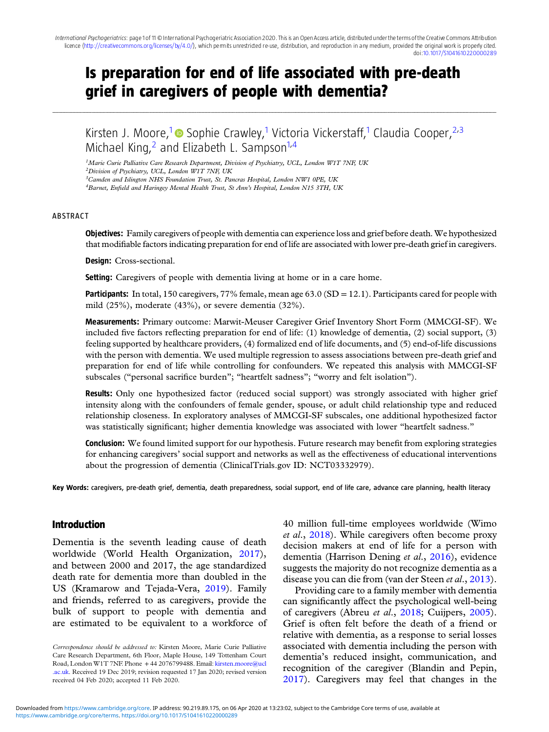# Is preparation for end of life associated with pre-death grief in caregivers of people with dementia?

........................................................................................................................................................................................................................................................................................................................................................................................................................................................................................................................................................................................................................

Kirsten J. Moore,<sup>1</sup> Sophie Crawley,<sup>1</sup> Victoria Vickerstaff,<sup>1</sup> Claudia Cooper,<sup>2,3</sup> Michael King, <sup>2</sup> and Elizabeth L. Sampson<sup>1,4</sup>

<sup>1</sup>Marie Curie Palliative Care Research Department, Division of Psychiatry, UCL, London W1T 7NF, UK

 $^{2}$ Division of Psychiatry, UCL, London W1T 7NF, UK

<sup>3</sup>Camden and Islington NHS Foundation Trust, St. Pancras Hospital, London NW1 0PE, UK

<sup>4</sup>Barnet, Enfield and Haringey Mental Health Trust, St Ann's Hospital, London N15 3TH, UK

#### **ARSTRACT**

Objectives: Family caregivers of people with dementia can experience loss and grief before death. We hypothesized that modifiable factors indicating preparation for end of life are associated with lower pre-death grief in caregivers.

Design: Cross-sectional.

**Setting:** Caregivers of people with dementia living at home or in a care home.

**Participants:** In total, 150 caregivers, 77% female, mean age  $63.0$  (SD = 12.1). Participants cared for people with mild (25%), moderate (43%), or severe dementia (32%).

Measurements: Primary outcome: Marwit-Meuser Caregiver Grief Inventory Short Form (MMCGI-SF). We included five factors reflecting preparation for end of life: (1) knowledge of dementia, (2) social support, (3) feeling supported by healthcare providers, (4) formalized end of life documents, and (5) end-of-life discussions with the person with dementia. We used multiple regression to assess associations between pre-death grief and preparation for end of life while controlling for confounders. We repeated this analysis with MMCGI-SF subscales ("personal sacrifice burden"; "heartfelt sadness"; "worry and felt isolation").

Results: Only one hypothesized factor (reduced social support) was strongly associated with higher grief intensity along with the confounders of female gender, spouse, or adult child relationship type and reduced relationship closeness. In exploratory analyses of MMCGI-SF subscales, one additional hypothesized factor was statistically significant; higher dementia knowledge was associated with lower "heartfelt sadness."

**Conclusion:** We found limited support for our hypothesis. Future research may benefit from exploring strategies for enhancing caregivers' social support and networks as well as the effectiveness of educational interventions about the progression of dementia (ClinicalTrials.gov ID: NCT03332979).

Key Words: caregivers, pre-death grief, dementia, death preparedness, social support, end of life care, advance care planning, health literacy

## Introduction

Dementia is the seventh leading cause of death worldwide (World Health Organization, [2017\)](#page-10-0), and between 2000 and 2017, the age standardized death rate for dementia more than doubled in the US (Kramarow and Tejada-Vera, [2019](#page-10-0)). Family and friends, referred to as caregivers, provide the bulk of support to people with dementia and are estimated to be equivalent to a workforce of

Correspondence should be addressed to: Kirsten Moore, Marie Curie Palliative Care Research Department, 6th Floor, Maple House, 149 Tottenham Court Road, London W1T 7NF. Phone + 44 2076799488. Email: [kirsten.moore@ucl](mailto:kirsten.moore@ucl.ac.uk) [.ac.uk.](mailto:kirsten.moore@ucl.ac.uk) Received 19 Dec 2019; revision requested 17 Jan 2020; revised version received 04 Feb 2020; accepted 11 Feb 2020.

40 million full-time employees worldwide (Wimo et al., [2018](#page-10-0)). While caregivers often become proxy decision makers at end of life for a person with dementia (Harrison Dening et al., [2016\)](#page-9-0), evidence suggests the majority do not recognize dementia as a disease you can die from (van der Steen et al., [2013](#page-10-0)).

Providing care to a family member with dementia can significantly affect the psychological well-being of caregivers (Abreu et al., [2018;](#page-9-0) Cuijpers, [2005](#page-9-0)). Grief is often felt before the death of a friend or relative with dementia, as a response to serial losses associated with dementia including the person with dementia's reduced insight, communication, and recognition of the caregiver (Blandin and Pepin, [2017\)](#page-9-0). Caregivers may feel that changes in the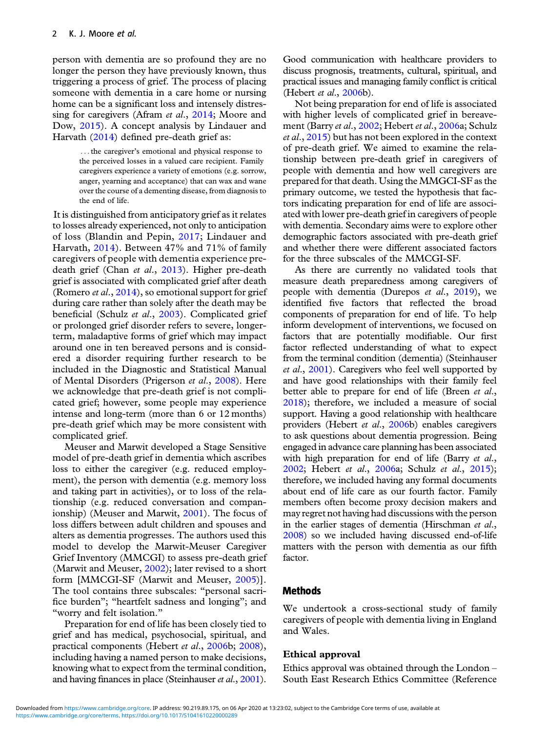person with dementia are so profound they are no longer the person they have previously known, thus triggering a process of grief. The process of placing someone with dementia in a care home or nursing home can be a significant loss and intensely distressing for caregivers (Afram *et al.*, [2014](#page-9-0); Moore and Dow, [2015](#page-10-0)). A concept analysis by Lindauer and Harvath [\(2014\)](#page-10-0) defined pre-death grief as:

> ... the caregiver's emotional and physical response to the perceived losses in a valued care recipient. Family caregivers experience a variety of emotions (e.g. sorrow, anger, yearning and acceptance) that can wax and wane over the course of a dementing disease, from diagnosis to the end of life.

It is distinguished from anticipatory grief as it relates to losses already experienced, not only to anticipation of loss (Blandin and Pepin, [2017](#page-9-0); Lindauer and Harvath, [2014\)](#page-10-0). Between 47% and 71% of family caregivers of people with dementia experience pre-death grief (Chan et al., [2013\)](#page-9-0). Higher pre-death grief is associated with complicated grief after death (Romero *et al.*, [2014](#page-10-0)), so emotional support for grief during care rather than solely after the death may be beneficial (Schulz et al., [2003](#page-10-0)). Complicated grief or prolonged grief disorder refers to severe, longerterm, maladaptive forms of grief which may impact around one in ten bereaved persons and is considered a disorder requiring further research to be included in the Diagnostic and Statistical Manual of Mental Disorders (Prigerson et al., [2008\)](#page-10-0). Here we acknowledge that pre-death grief is not complicated grief; however, some people may experience intense and long-term (more than 6 or 12 months) pre-death grief which may be more consistent with complicated grief.

Meuser and Marwit developed a Stage Sensitive model of pre-death grief in dementia which ascribes loss to either the caregiver (e.g. reduced employment), the person with dementia (e.g. memory loss and taking part in activities), or to loss of the relationship (e.g. reduced conversation and companionship) (Meuser and Marwit, [2001\)](#page-10-0). The focus of loss differs between adult children and spouses and alters as dementia progresses. The authors used this model to develop the Marwit-Meuser Caregiver Grief Inventory (MMCGI) to assess pre-death grief (Marwit and Meuser, [2002](#page-10-0)); later revised to a short form [MMCGI-SF (Marwit and Meuser, [2005](#page-10-0))]. The tool contains three subscales: "personal sacrifice burden"; "heartfelt sadness and longing"; and "worry and felt isolation."

Preparation for end of life has been closely tied to grief and has medical, psychosocial, spiritual, and practical components (Hebert et al., [2006](#page-10-0)b; [2008\)](#page-10-0), including having a named person to make decisions, knowing what to expect from the terminal condition, and having finances in place (Steinhauser et al., [2001](#page-10-0)).

Good communication with healthcare providers to discuss prognosis, treatments, cultural, spiritual, and practical issues and managing family conflict is critical (Hebert et al., [2006](#page-10-0)b).

Not being preparation for end of life is associated with higher levels of complicated grief in bereave-ment (Barry et al., [2002](#page-9-0); Hebert et al., [2006a](#page-9-0); Schulz et al., [2015](#page-10-0)) but has not been explored in the context of pre-death grief. We aimed to examine the relationship between pre-death grief in caregivers of people with dementia and how well caregivers are prepared for that death. Using the MMGCI-SF as the primary outcome, we tested the hypothesis that factors indicating preparation for end of life are associated with lower pre-death grief in caregivers of people with dementia. Secondary aims were to explore other demographic factors associated with pre-death grief and whether there were different associated factors for the three subscales of the MMCGI-SF.

As there are currently no validated tools that measure death preparedness among caregivers of people with dementia (Durepos et al., [2019](#page-9-0)), we identified five factors that reflected the broad components of preparation for end of life. To help inform development of interventions, we focused on factors that are potentially modifiable. Our first factor reflected understanding of what to expect from the terminal condition (dementia) (Steinhauser et al., [2001\)](#page-10-0). Caregivers who feel well supported by and have good relationships with their family feel better able to prepare for end of life (Breen *et al.*, [2018](#page-9-0)); therefore, we included a measure of social support. Having a good relationship with healthcare providers (Hebert et al., [2006b](#page-10-0)) enables caregivers to ask questions about dementia progression. Being engaged in advance care planning has been associated with high preparation for end of life (Barry *et al.*, [2002](#page-9-0); Hebert et al., [2006](#page-9-0)a; Schulz et al., [2015](#page-10-0)); therefore, we included having any formal documents about end of life care as our fourth factor. Family members often become proxy decision makers and may regret not having had discussions with the person in the earlier stages of dementia (Hirschman et al., [2008](#page-10-0)) so we included having discussed end-of-life matters with the person with dementia as our fifth factor.

## **Methods**

We undertook a cross-sectional study of family caregivers of people with dementia living in England and Wales.

#### Ethical approval

Ethics approval was obtained through the London – South East Research Ethics Committee (Reference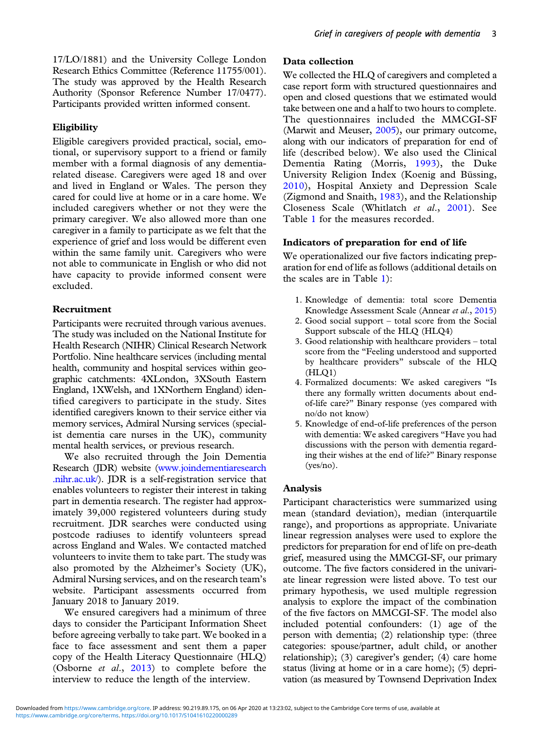17/LO/1881) and the University College London Research Ethics Committee (Reference 11755/001). The study was approved by the Health Research Authority (Sponsor Reference Number 17/0477). Participants provided written informed consent.

## **Eligibility**

Eligible caregivers provided practical, social, emotional, or supervisory support to a friend or family member with a formal diagnosis of any dementiarelated disease. Caregivers were aged 18 and over and lived in England or Wales. The person they cared for could live at home or in a care home. We included caregivers whether or not they were the primary caregiver. We also allowed more than one caregiver in a family to participate as we felt that the experience of grief and loss would be different even within the same family unit. Caregivers who were not able to communicate in English or who did not have capacity to provide informed consent were excluded.

## Recruitment

Participants were recruited through various avenues. The study was included on the National Institute for Health Research (NIHR) Clinical Research Network Portfolio. Nine healthcare services (including mental health, community and hospital services within geographic catchments: 4XLondon, 3XSouth Eastern England, 1XWelsh, and 1XNorthern England) identified caregivers to participate in the study. Sites identified caregivers known to their service either via memory services, Admiral Nursing services (specialist dementia care nurses in the UK), community mental health services, or previous research.

We also recruited through the Join Dementia Research (JDR) website ([www.joindementiaresearch](https://www.joindementiaresearch.nihr.ac.uk/) [.nihr.ac.uk/](https://www.joindementiaresearch.nihr.ac.uk/)). JDR is a self-registration service that enables volunteers to register their interest in taking part in dementia research. The register had approximately 39,000 registered volunteers during study recruitment. JDR searches were conducted using postcode radiuses to identify volunteers spread across England and Wales. We contacted matched volunteers to invite them to take part. The study was also promoted by the Alzheimer's Society (UK), Admiral Nursing services, and on the research team's website. Participant assessments occurred from January 2018 to January 2019.

We ensured caregivers had a minimum of three days to consider the Participant Information Sheet before agreeing verbally to take part. We booked in a face to face assessment and sent them a paper copy of the Health Literacy Questionnaire (HLQ) (Osborne et al., [2013](#page-10-0)) to complete before the interview to reduce the length of the interview.

## Data collection

We collected the HLQ of caregivers and completed a case report form with structured questionnaires and open and closed questions that we estimated would take between one and a half to two hours to complete. The questionnaires included the MMCGI-SF (Marwit and Meuser, [2005\)](#page-10-0), our primary outcome, along with our indicators of preparation for end of life (described below). We also used the Clinical Dementia Rating (Morris, [1993](#page-10-0)), the Duke University Religion Index (Koenig and Büssing, [2010](#page-10-0)), Hospital Anxiety and Depression Scale (Zigmond and Snaith, [1983\)](#page-10-0), and the Relationship Closeness Scale (Whitlatch et al., [2001](#page-10-0)). See Table [1](#page-3-0) for the measures recorded.

## Indicators of preparation for end of life

We operationalized our five factors indicating preparation for end of life as follows (additional details on the scales are in Table [1\)](#page-3-0):

- 1. Knowledge of dementia: total score Dementia Knowledge Assessment Scale (Annear et al., [2015](#page-9-0))
- 2. Good social support total score from the Social Support subscale of the HLQ (HLQ4)
- 3. Good relationship with healthcare providers total score from the "Feeling understood and supported by healthcare providers" subscale of the HLQ (HLQ1)
- 4. Formalized documents: We asked caregivers "Is there any formally written documents about endof-life care?" Binary response (yes compared with no/do not know)
- 5. Knowledge of end-of-life preferences of the person with dementia: We asked caregivers "Have you had discussions with the person with dementia regarding their wishes at the end of life?" Binary response (yes/no).

## Analysis

Participant characteristics were summarized using mean (standard deviation), median (interquartile range), and proportions as appropriate. Univariate linear regression analyses were used to explore the predictors for preparation for end of life on pre-death grief, measured using the MMCGI-SF, our primary outcome. The five factors considered in the univariate linear regression were listed above. To test our primary hypothesis, we used multiple regression analysis to explore the impact of the combination of the five factors on MMCGI-SF. The model also included potential confounders: (1) age of the person with dementia; (2) relationship type: (three categories: spouse/partner, adult child, or another relationship); (3) caregiver's gender; (4) care home status (living at home or in a care home); (5) deprivation (as measured by Townsend Deprivation Index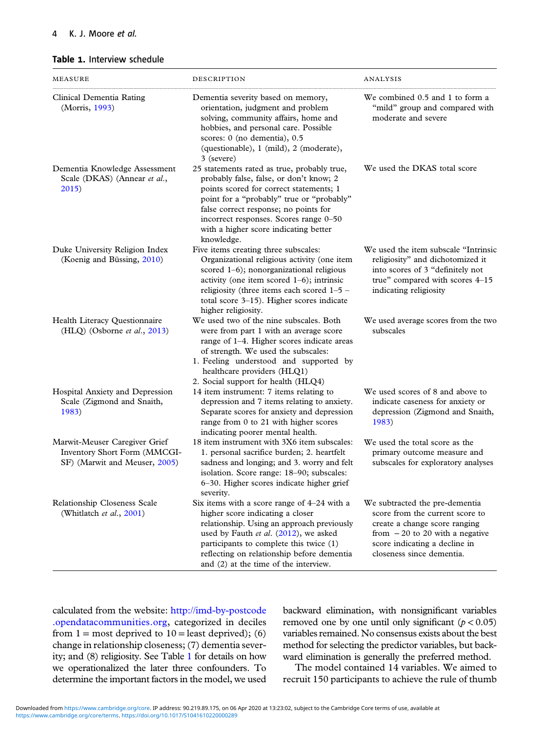#### <span id="page-3-0"></span>Table 1. Interview schedule

| MEASURE                                                                                        | DESCRIPTION                                                                                                                                                                                                                                                                                                              | ANALYSIS                                                                                                                                                                                             |
|------------------------------------------------------------------------------------------------|--------------------------------------------------------------------------------------------------------------------------------------------------------------------------------------------------------------------------------------------------------------------------------------------------------------------------|------------------------------------------------------------------------------------------------------------------------------------------------------------------------------------------------------|
| Clinical Dementia Rating<br>(Morris, 1993)                                                     | Dementia severity based on memory,<br>orientation, judgment and problem<br>solving, community affairs, home and<br>hobbies, and personal care. Possible<br>scores: 0 (no dementia), 0.5<br>(questionable), 1 (mild), 2 (moderate),<br>3 (severe)                                                                         | We combined 0.5 and 1 to form a<br>"mild" group and compared with<br>moderate and severe                                                                                                             |
| Dementia Knowledge Assessment<br>Scale (DKAS) (Annear et al.,<br>2015)                         | 25 statements rated as true, probably true,<br>probably false, false, or don't know; 2<br>points scored for correct statements; 1<br>point for a "probably" true or "probably"<br>false correct response; no points for<br>incorrect responses. Scores range 0-50<br>with a higher score indicating better<br>knowledge. | We used the DKAS total score                                                                                                                                                                         |
| Duke University Religion Index<br>(Koenig and Büssing, 2010)                                   | Five items creating three subscales:<br>Organizational religious activity (one item<br>scored 1-6); nonorganizational religious<br>activity (one item scored $1-6$ ); intrinsic<br>religiosity (three items each scored 1-5 -<br>total score 3-15). Higher scores indicate<br>higher religiosity.                        | We used the item subscale "Intrinsic<br>religiosity" and dichotomized it<br>into scores of 3 "definitely not<br>true" compared with scores 4-15<br>indicating religiosity                            |
| Health Literacy Questionnaire<br>(HLQ) (Osborne et al., 2013)                                  | We used two of the nine subscales. Both<br>were from part 1 with an average score<br>range of 1-4. Higher scores indicate areas<br>of strength. We used the subscales:<br>1. Feeling understood and supported by<br>healthcare providers (HLQ1)<br>2. Social support for health (HLQ4)                                   | We used average scores from the two<br>subscales                                                                                                                                                     |
| Hospital Anxiety and Depression<br>Scale (Zigmond and Snaith,<br>1983)                         | 14 item instrument: 7 items relating to<br>depression and 7 items relating to anxiety.<br>Separate scores for anxiety and depression<br>range from 0 to 21 with higher scores<br>indicating poorer mental health.                                                                                                        | We used scores of 8 and above to<br>indicate caseness for anxiety or<br>depression (Zigmond and Snaith,<br>1983)                                                                                     |
| Marwit-Meuser Caregiver Grief<br>Inventory Short Form (MMCGI-<br>SF) (Marwit and Meuser, 2005) | 18 item instrument with 3X6 item subscales:<br>1. personal sacrifice burden; 2. heartfelt<br>sadness and longing; and 3. worry and felt<br>isolation. Score range: 18-90; subscales:<br>6-30. Higher scores indicate higher grief<br>severity.                                                                           | We used the total score as the<br>primary outcome measure and<br>subscales for exploratory analyses                                                                                                  |
| Relationship Closeness Scale<br>(Whitlatch et al., 2001)                                       | Six items with a score range of $4-24$ with a<br>higher score indicating a closer<br>relationship. Using an approach previously<br>used by Fauth et al. (2012), we asked<br>participants to complete this twice (1)<br>reflecting on relationship before dementia<br>and (2) at the time of the interview.               | We subtracted the pre-dementia<br>score from the current score to<br>create a change score ranging<br>from $-20$ to 20 with a negative<br>score indicating a decline in<br>closeness since dementia. |

calculated from the website: [http://imd-by-postcode](http://imd-by-postcode.opendatacommunities.org) [.opendatacommunities.org,](http://imd-by-postcode.opendatacommunities.org) categorized in deciles from  $1 =$  most deprived to  $10 =$  least deprived); (6) change in relationship closeness; (7) dementia severity; and (8) religiosity. See Table 1 for details on how we operationalized the later three confounders. To determine the important factors in the model, we used backward elimination, with nonsignificant variables removed one by one until only significant  $(p < 0.05)$ variables remained. No consensus exists about the best method for selecting the predictor variables, but backward elimination is generally the preferred method.

The model contained 14 variables. We aimed to recruit 150 participants to achieve the rule of thumb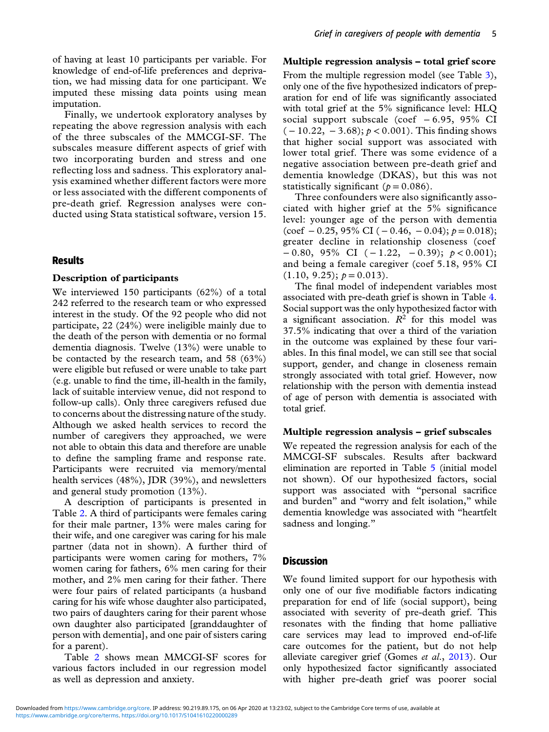of having at least 10 participants per variable. For knowledge of end-of-life preferences and deprivation, we had missing data for one participant. We imputed these missing data points using mean imputation.

Finally, we undertook exploratory analyses by repeating the above regression analysis with each of the three subscales of the MMCGI-SF. The subscales measure different aspects of grief with two incorporating burden and stress and one reflecting loss and sadness. This exploratory analysis examined whether different factors were more or less associated with the different components of pre-death grief. Regression analyses were conducted using Stata statistical software, version 15.

## **Results**

#### Description of participants

We interviewed 150 participants (62%) of a total 242 referred to the research team or who expressed interest in the study. Of the 92 people who did not participate, 22 (24%) were ineligible mainly due to the death of the person with dementia or no formal dementia diagnosis. Twelve (13%) were unable to be contacted by the research team, and 58 (63%) were eligible but refused or were unable to take part (e.g. unable to find the time, ill-health in the family, lack of suitable interview venue, did not respond to follow-up calls). Only three caregivers refused due to concerns about the distressing nature of the study. Although we asked health services to record the number of caregivers they approached, we were not able to obtain this data and therefore are unable to define the sampling frame and response rate. Participants were recruited via memory/mental health services (48%), JDR (39%), and newsletters and general study promotion (13%).

A description of participants is presented in Table [2.](#page-5-0) A third of participants were females caring for their male partner, 13% were males caring for their wife, and one caregiver was caring for his male partner (data not in shown). A further third of participants were women caring for mothers, 7% women caring for fathers, 6% men caring for their mother, and 2% men caring for their father. There were four pairs of related participants (a husband caring for his wife whose daughter also participated, two pairs of daughters caring for their parent whose own daughter also participated [granddaughter of person with dementia], and one pair of sisters caring for a parent).

Table [2](#page-5-0) shows mean MMCGI-SF scores for various factors included in our regression model as well as depression and anxiety.

#### Multiple regression analysis – total grief score

From the multiple regression model (see Table [3](#page-6-0)), only one of the five hypothesized indicators of preparation for end of life was significantly associated with total grief at the 5% significance level: HLQ social support subscale (coef − 6.95, 95% CI  $(-10.22, -3.68); p < 0.001$ ). This finding shows that higher social support was associated with lower total grief. There was some evidence of a negative association between pre-death grief and dementia knowledge (DKAS), but this was not statistically significant ( $p = 0.086$ ).

Three confounders were also significantly associated with higher grief at the 5% significance level: younger age of the person with dementia  $(\text{coef} - 0.25, 95\% \text{ CI } (-0.46, -0.04); p = 0.018);$ greater decline in relationship closeness (coef  $-0.80, 95\% \text{ CI } (-1.22, -0.39); p < 0.001);$ and being a female caregiver (coef 5.18, 95% CI  $(1.10, 9.25); p = 0.013$ .

The final model of independent variables most associated with pre-death grief is shown in Table [4.](#page-6-0) Social support was the only hypothesized factor with a significant association.  $R^2$  for this model was 37.5% indicating that over a third of the variation in the outcome was explained by these four variables. In this final model, we can still see that social support, gender, and change in closeness remain strongly associated with total grief. However, now relationship with the person with dementia instead of age of person with dementia is associated with total grief.

#### Multiple regression analysis – grief subscales

We repeated the regression analysis for each of the MMCGI-SF subscales. Results after backward elimination are reported in Table [5](#page-7-0) (initial model not shown). Of our hypothesized factors, social support was associated with "personal sacrifice and burden" and "worry and felt isolation," while dementia knowledge was associated with "heartfelt sadness and longing."

## **Discussion**

We found limited support for our hypothesis with only one of our five modifiable factors indicating preparation for end of life (social support), being associated with severity of pre-death grief. This resonates with the finding that home palliative care services may lead to improved end-of-life care outcomes for the patient, but do not help alleviate caregiver grief (Gomes et al., [2013](#page-9-0)). Our only hypothesized factor significantly associated with higher pre-death grief was poorer social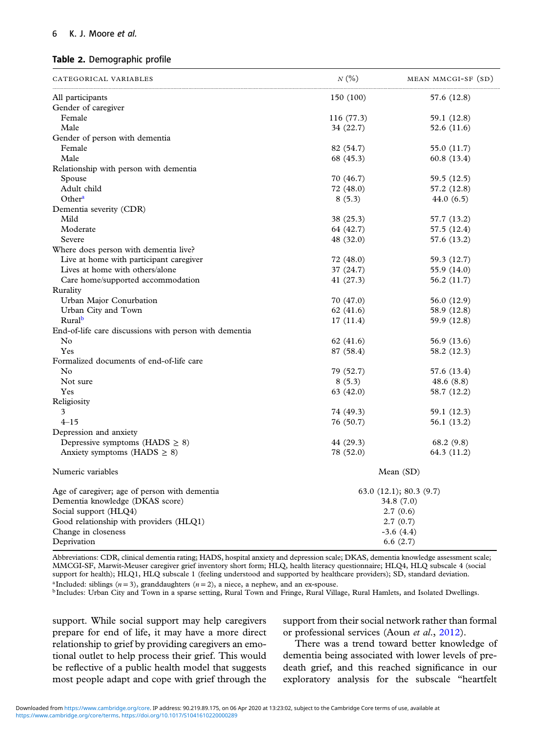## <span id="page-5-0"></span>6 K. J. Moore et al.

#### Table 2. Demographic profile

| CATEGORICAL VARIABLES                                  | N(%)       | MEAN MMCGI-SF (SD)    |
|--------------------------------------------------------|------------|-----------------------|
| All participants                                       | 150 (100)  | 57.6 (12.8)           |
| Gender of caregiver                                    |            |                       |
| Female                                                 | 116 (77.3) | 59.1 (12.8)           |
| Male                                                   | 34 (22.7)  | 52.6 (11.6)           |
| Gender of person with dementia                         |            |                       |
| Female                                                 | 82 (54.7)  | 55.0 (11.7)           |
| Male                                                   | 68 (45.3)  | 60.8(13.4)            |
| Relationship with person with dementia                 |            |                       |
| Spouse                                                 | 70 (46.7)  | 59.5 (12.5)           |
| Adult child                                            | 72 (48.0)  | 57.2 (12.8)           |
| Other <sup>a</sup>                                     | 8(5.3)     | 44.0(6.5)             |
| Dementia severity (CDR)                                |            |                       |
| Mild                                                   | 38 (25.3)  | 57.7 (13.2)           |
| Moderate                                               | 64 (42.7)  | 57.5 (12.4)           |
| Severe                                                 | 48 (32.0)  | 57.6 (13.2)           |
| Where does person with dementia live?                  |            |                       |
| Live at home with participant caregiver                | 72 (48.0)  | 59.3 (12.7)           |
| Lives at home with others/alone                        | 37 (24.7)  | 55.9 (14.0)           |
| Care home/supported accommodation                      | 41 (27.3)  | 56.2 (11.7)           |
| Rurality                                               |            |                       |
| Urban Major Conurbation                                | 70 (47.0)  | 56.0 (12.9)           |
| Urban City and Town                                    | 62 (41.6)  | 58.9 (12.8)           |
| Rural <sup>b</sup>                                     | 17(11.4)   | 59.9 (12.8)           |
| End-of-life care discussions with person with dementia |            |                       |
| N <sub>0</sub>                                         | 62 (41.6)  | 56.9 (13.6)           |
| Yes                                                    | 87 (58.4)  | 58.2 (12.3)           |
| Formalized documents of end-of-life care               |            |                       |
| No                                                     | 79 (52.7)  | 57.6 (13.4)           |
| Not sure                                               | 8(5.3)     | 48.6 $(8.8)$          |
| Yes                                                    | 63 (42.0)  | 58.7 (12.2)           |
| Religiosity                                            |            |                       |
| 3                                                      | 74 (49.3)  | 59.1 (12.3)           |
| $4 - 15$                                               | 76 (50.7)  | 56.1 (13.2)           |
| Depression and anxiety                                 |            |                       |
| Depressive symptoms (HADS $\geq$ 8)                    | 44 (29.3)  | 68.2(9.8)             |
| Anxiety symptoms (HADS $\geq$ 8)                       | 78 (52.0)  | 64.3 (11.2)           |
| Numeric variables                                      |            | Mean $(SD)$           |
| Age of caregiver; age of person with dementia          |            | 63.0(12.1); 80.3(9.7) |
| Dementia knowledge (DKAS score)                        |            | 34.8 (7.0)            |
| Social support (HLQ4)                                  |            | 2.7(0.6)              |
| Good relationship with providers (HLQ1)                |            | 2.7(0.7)              |
| Change in closeness                                    |            | $-3.6(4.4)$           |
| Deprivation                                            |            | 6.6(2.7)              |

Abbreviations: CDR, clinical dementia rating; HADS, hospital anxiety and depression scale; DKAS, dementia knowledge assessment scale; MMCGI-SF, Marwit-Meuser caregiver grief inventory short form; HLQ, health literacy questionnaire; HLQ4, HLQ subscale 4 (social support for health); HLQ1, HLQ subscale 1 (feeling understood and supported by healthcare providers); SD, standard deviation.

<sup>a</sup> Included: siblings (*n* = 3), granddaughters (*n* = 2), a niece, a nephew, and an ex-spouse.<br><sup>b</sup> Includes: Urban City and Town in a sparse setting, Rural Town and Fringe, Rural Village, Rural Hamlets, and Isolated Dwe

support. While social support may help caregivers prepare for end of life, it may have a more direct relationship to grief by providing caregivers an emotional outlet to help process their grief. This would be reflective of a public health model that suggests most people adapt and cope with grief through the support from their social network rather than formal or professional services (Aoun et al., [2012](#page-9-0)).

There was a trend toward better knowledge of dementia being associated with lower levels of predeath grief, and this reached significance in our exploratory analysis for the subscale "heartfelt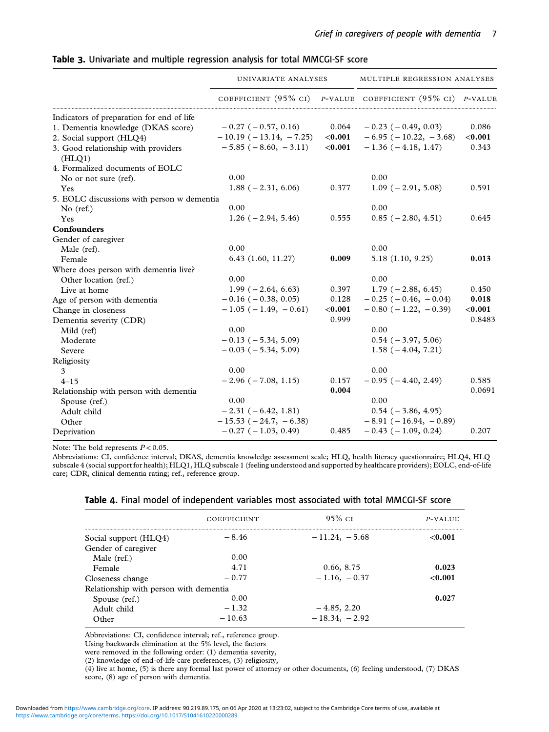<span id="page-6-0"></span>

|  |  |  |  |  |  | Table 3. Univariate and multiple regression analysis for total MMCGI-SF score |  |
|--|--|--|--|--|--|-------------------------------------------------------------------------------|--|
|--|--|--|--|--|--|-------------------------------------------------------------------------------|--|

|                                               | UNIVARIATE ANALYSES           |           | MULTIPLE REGRESSION ANALYSES    |         |
|-----------------------------------------------|-------------------------------|-----------|---------------------------------|---------|
|                                               | COEFFICIENT $(95\%$ CI)       |           | $P$ -VALUE COEFFICIENT (95% CI) | P-VALUE |
| Indicators of preparation for end of life     |                               |           |                                 |         |
| 1. Dementia knowledge (DKAS score)            | $-0.27$ ( $-0.57$ , 0.16)     | 0.064     | $-0.23$ ( $-0.49$ , 0.03)       | 0.086   |
| 2. Social support (HLQ4)                      | $-10.19(-13.14, -7.25)$       | $<$ 0.001 | $-6.95$ ( $-10.22, -3.68$ )     | < 0.001 |
| 3. Good relationship with providers<br>(HLQ1) | $-5.85$ ( $-8.60, -3.11$ )    | $<$ 0.001 | $-1.36(-4.18, 1.47)$            | 0.343   |
| 4. Formalized documents of EOLC               |                               |           |                                 |         |
| No or not sure (ref).                         | 0.00                          |           | 0.00                            |         |
| Yes                                           | $1.88(-2.31, 6.06)$           | 0.377     | $1.09(-2.91, 5.08)$             | 0.591   |
| 5. EOLC discussions with person w dementia    |                               |           |                                 |         |
| No $(ref.)$                                   | 0.00                          |           | 0.00                            |         |
| Yes                                           | $1.26(-2.94, 5.46)$           | 0.555     | $0.85(-2.80, 4.51)$             | 0.645   |
| Confounders                                   |                               |           |                                 |         |
| Gender of caregiver                           |                               |           |                                 |         |
| Male (ref).                                   | 0.00                          |           | 0.00                            |         |
| Female                                        | 6.43(1.60, 11.27)             | 0.009     | 5.18(1.10, 9.25)                | 0.013   |
| Where does person with dementia live?         |                               |           |                                 |         |
| Other location (ref.)                         | 0.00                          |           | 0.00                            |         |
| Live at home                                  | $1.99(-2.64, 6.63)$           | 0.397     | $1.79(-2.88, 6.45)$             | 0.450   |
| Age of person with dementia                   | $-0.16$ ( $-0.38$ , 0.05)     | 0.128     | $-0.25$ ( $-0.46$ , $-0.04$ )   | 0.018   |
| Change in closeness                           | $-1.05$ ( $-1.49$ , $-0.61$ ) | $<$ 0.001 | $-0.80$ ( $-1.22$ , $-0.39$ )   | < 0.001 |
| Dementia severity (CDR)                       |                               | 0.999     |                                 | 0.8483  |
| Mild (ref)                                    | 0.00                          |           | 0.00                            |         |
| Moderate                                      | $-0.13$ ( $-5.34$ , 5.09)     |           | $0.54(-3.97, 5.06)$             |         |
| Severe                                        | $-0.03$ ( $-5.34$ , 5.09)     |           | $1.58(-4.04, 7.21)$             |         |
| Religiosity                                   |                               |           |                                 |         |
| 3                                             | 0.00                          |           | 0.00                            |         |
| $4 - 15$                                      | $-2.96(-7.08, 1.15)$          | 0.157     | $-0.95$ ( $-4.40$ , 2.49)       | 0.585   |
| Relationship with person with dementia        |                               | 0.004     |                                 | 0.0691  |
| Spouse (ref.)                                 | 0.00                          |           | 0.00                            |         |
| Adult child                                   | $-2.31(-6.42, 1.81)$          |           | $0.54 (-3.86, 4.95)$            |         |
| Other                                         | $-15.53 (-24.7, -6.38)$       |           | $-8.91(-16.94, -0.89)$          |         |
| Deprivation                                   | $-0.27$ ( $-1.03$ , 0.49)     | 0.485     | $-0.43$ ( $-1.09$ , 0.24)       | 0.207   |

Note: The bold represents  $P < 0.05$ .

Abbreviations: CI, confidence interval; DKAS, dementia knowledge assessment scale; HLQ, health literacy questionnaire; HLQ4, HLQ subscale 4 (social support for health); HLQ1, HLQ subscale 1 (feeling understood and supported by healthcare providers); EOLC, end-of-life care; CDR, clinical dementia rating; ref., reference group.

| Table 4. Final model of independent variables most associated with total MMCGI-SF score |  |  |  |  |  |  |  |  |  |
|-----------------------------------------------------------------------------------------|--|--|--|--|--|--|--|--|--|
|-----------------------------------------------------------------------------------------|--|--|--|--|--|--|--|--|--|

|                                        | <b>COEFFICIENT</b> | $95\%$ CI       | P-VALUE |
|----------------------------------------|--------------------|-----------------|---------|
| Social support (HLQ4)                  | $-8.46$            | $-11.24, -5.68$ | < 0.001 |
| Gender of caregiver                    |                    |                 |         |
| Male (ref.)                            | 0.00               |                 |         |
| Female                                 | 4.71               | 0.66, 8.75      | 0.023   |
| Closeness change                       | $-0.77$            | $-1.16, -0.37$  | < 0.001 |
| Relationship with person with dementia |                    |                 |         |
| Spouse (ref.)                          | 0.00               |                 | 0.027   |
| Adult child                            | $-1.32$            | $-4.85, 2.20$   |         |
| $O$ ther                               | $-10.63$           | $-18.34, -2.92$ |         |

Abbreviations: CI, confidence interval; ref., reference group.

Using backwards elimination at the 5% level, the factors

were removed in the following order: (1) dementia severity,

(2) knowledge of end-of-life care preferences, (3) religiosity,

(4) live at home, (5) is there any formal last power of attorney or other documents, (6) feeling understood, (7) DKAS

score, (8) age of person with dementia.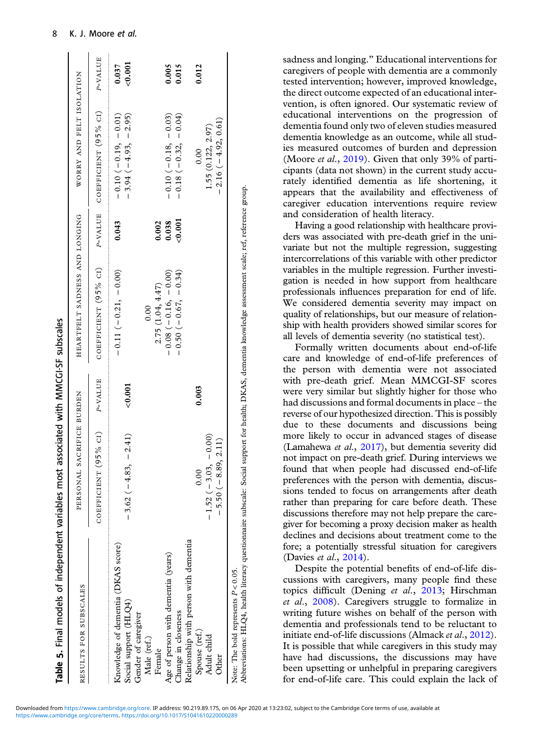<span id="page-7-0"></span>

| RESULTS FOR SUBSCALES                                       | PERSONAL SACRIFICE BURDEN           |         | HEARTFELT SADNESS AND LONGING |            | WORRY AND FELT ISOLATION                      |                  |
|-------------------------------------------------------------|-------------------------------------|---------|-------------------------------|------------|-----------------------------------------------|------------------|
|                                                             | 5% cr)<br>COEFFICIENT <sup>(9</sup> | P-VALUE | COEFFICIENT (95% CI)          | P-VALUE    | COEFFICIENT (95% CI)                          | P-VALUE          |
| Knowledge of dementia (DKAS score)<br>Social support (HLQ4) | $-3.62(-4.83, -2.41)$               | < 0.001 | $-0.11(-1.011) - 0.00$        | 0.043      | $-0.10(-0.10) - 0.01$<br>$-3.94(-4.93,-2.95)$ | < 0.001<br>0.037 |
| Gender of caregiver<br>Male (ref.)                          |                                     |         | 0.00                          |            |                                               |                  |
| Female                                                      |                                     |         | 2.75(1.04, 4.47)              | 0.002      |                                               |                  |
| Age of person with dementia (years)                         |                                     |         | $(0000 - 910) - 8000 -$       | 0.038      | $-0.10(-0.18,-0.03)$                          | 0.005            |
| Change in closeness                                         |                                     |         | $-0.50(-0.67,-0.34)$          | ${<}0.001$ | $-0.18 (-0.32, -0.04)$                        | 0.015            |
| Relationship with person with dementia                      |                                     |         |                               |            |                                               |                  |
| Spouse (ref.)                                               | 0.00                                | 0.003   |                               |            | 0.00                                          | 0.012            |
| Adult child                                                 | $-0.00$<br>$-1.52(-3.03,$           |         |                               |            | 1.55(0.122, 2.97)                             |                  |
| Other                                                       | 2.11)<br>$-5.50(-8.89,$             |         |                               |            | $-2.16(-4.92, 0.61)$                          |                  |

sadness and longing." Educational interventions for caregivers of people with dementia are a commonly tested intervention; however, improved knowledge, the direct outcome expected of an educational intervention, is often ignored. Our systematic review of educational interventions on the progression of dementia found only two of eleven studies measured dementia knowledge as an outcome, while all studies measured outcomes of burden and depression (Moore *et al.*, [2019\)](#page-10-0). Given that only 39% of participants (data not shown) in the current study accurately identified dementia as life shortening, it appears that the availability and effectiveness of caregiver education interventions require review and consideration of health literacy.

Having a good relationship with healthcare providers was associated with pre-death grief in the univariate but not the multiple regression, suggesting intercorrelations of this variable with other predictor variables in the multiple regression. Further investigation is needed in how support from healthcare professionals influences preparation for end of life. We considered dementia severity may impact on quality of relationships, but our measure of relationship with health providers showed similar scores for all levels of dementia severity (no statistical test).

Formally written documents about end-of-life care and knowledge of end-of-life preferences of the person with dementia were not associated with pre-death grief. Mean MMCGI-SF scores were very similar but slightly higher for those who had discussions and formal documents in place – the reverse of our hypothesized direction. This is possibly due to these documents and discussions being more likely to occur in advanced stages of disease (Lamahewa et al., [2017](#page-10-0)), but dementia severity did not impact on pre-death grief. During interviews we found that when people had discussed end-of-life preferences with the person with dementia, discussions tended to focus on arrangements after death rather than preparing for care before death. These discussions therefore may not help prepare the caregiver for becoming a proxy decision maker as health declines and decisions about treatment come to the fore; a potentially stressful situation for caregivers (Davies et al., [2014\)](#page-9-0).

Despite the potential benefits of end-of-life discussions with caregivers, many people find these topics difficult (Dening et al., [2013;](#page-9-0) Hirschman et al., [2008\)](#page-10-0). Caregivers struggle to formalize in writing future wishes on behalf of the person with dementia and professionals tend to be reluctant to initiate end-of-life discussions (Almack et al., [2012](#page-9-0)). It is possible that while caregivers in this study may have had discussions, the discussions may have been upsetting or unhelpful in preparing caregivers for end-of-life care. This could explain the lack of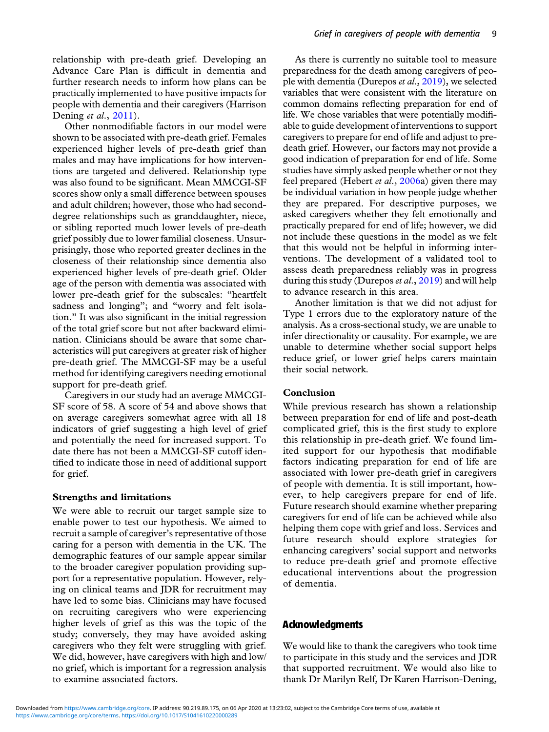relationship with pre-death grief. Developing an Advance Care Plan is difficult in dementia and further research needs to inform how plans can be practically implemented to have positive impacts for people with dementia and their caregivers (Harrison Dening *et al.*, [2011\)](#page-9-0).

Other nonmodifiable factors in our model were shown to be associated with pre-death grief. Females experienced higher levels of pre-death grief than males and may have implications for how interventions are targeted and delivered. Relationship type was also found to be significant. Mean MMCGI-SF scores show only a small difference between spouses and adult children; however, those who had seconddegree relationships such as granddaughter, niece, or sibling reported much lower levels of pre-death grief possibly due to lower familial closeness. Unsurprisingly, those who reported greater declines in the closeness of their relationship since dementia also experienced higher levels of pre-death grief. Older age of the person with dementia was associated with lower pre-death grief for the subscales: "heartfelt sadness and longing"; and "worry and felt isolation." It was also significant in the initial regression of the total grief score but not after backward elimination. Clinicians should be aware that some characteristics will put caregivers at greater risk of higher pre-death grief. The MMCGI-SF may be a useful method for identifying caregivers needing emotional support for pre-death grief.

Caregivers in our study had an average MMCGI-SF score of 58. A score of 54 and above shows that on average caregivers somewhat agree with all 18 indicators of grief suggesting a high level of grief and potentially the need for increased support. To date there has not been a MMCGI-SF cutoff identified to indicate those in need of additional support for grief.

#### Strengths and limitations

We were able to recruit our target sample size to enable power to test our hypothesis. We aimed to recruit a sample of caregiver's representative of those caring for a person with dementia in the UK. The demographic features of our sample appear similar to the broader caregiver population providing support for a representative population. However, relying on clinical teams and JDR for recruitment may have led to some bias. Clinicians may have focused on recruiting caregivers who were experiencing higher levels of grief as this was the topic of the study; conversely, they may have avoided asking caregivers who they felt were struggling with grief. We did, however, have caregivers with high and low/ no grief, which is important for a regression analysis to examine associated factors.

As there is currently no suitable tool to measure preparedness for the death among caregivers of peo-ple with dementia (Durepos et al., [2019\)](#page-9-0), we selected variables that were consistent with the literature on common domains reflecting preparation for end of life. We chose variables that were potentially modifiable to guide development of interventions to support caregivers to prepare for end of life and adjust to predeath grief. However, our factors may not provide a good indication of preparation for end of life. Some studies have simply asked people whether or not they feel prepared (Hebert et al., [2006](#page-9-0)a) given there may be individual variation in how people judge whether they are prepared. For descriptive purposes, we asked caregivers whether they felt emotionally and practically prepared for end of life; however, we did not include these questions in the model as we felt that this would not be helpful in informing interventions. The development of a validated tool to assess death preparedness reliably was in progress during this study (Durepos *et al.*,  $2019$ ) and will help to advance research in this area.

Another limitation is that we did not adjust for Type 1 errors due to the exploratory nature of the analysis. As a cross-sectional study, we are unable to infer directionality or causality. For example, we are unable to determine whether social support helps reduce grief, or lower grief helps carers maintain their social network.

## Conclusion

While previous research has shown a relationship between preparation for end of life and post-death complicated grief, this is the first study to explore this relationship in pre-death grief. We found limited support for our hypothesis that modifiable factors indicating preparation for end of life are associated with lower pre-death grief in caregivers of people with dementia. It is still important, however, to help caregivers prepare for end of life. Future research should examine whether preparing caregivers for end of life can be achieved while also helping them cope with grief and loss. Services and future research should explore strategies for enhancing caregivers' social support and networks to reduce pre-death grief and promote effective educational interventions about the progression of dementia.

#### Acknowledgments

We would like to thank the caregivers who took time to participate in this study and the services and JDR that supported recruitment. We would also like to thank Dr Marilyn Relf, Dr Karen Harrison-Dening,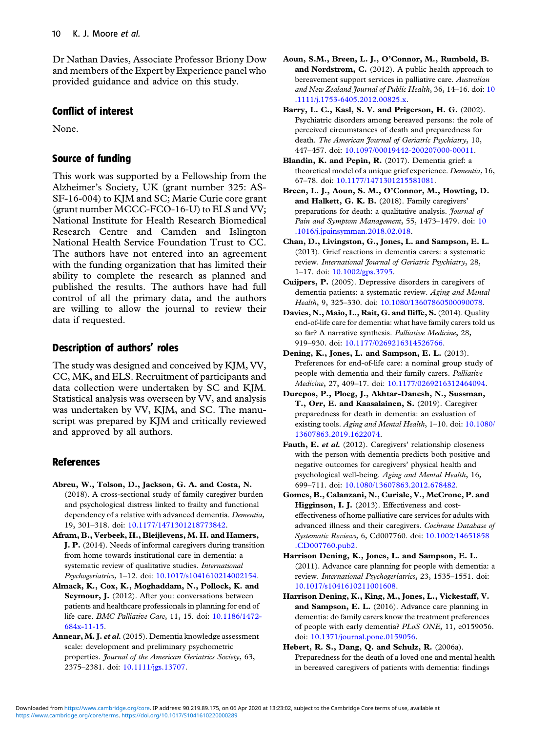<span id="page-9-0"></span>Dr Nathan Davies, Associate Professor Briony Dow and members of the Expert by Experience panel who provided guidance and advice on this study.

## Conflict of interest

None.

# Source of funding

This work was supported by a Fellowship from the Alzheimer's Society, UK (grant number 325: AS-SF-16-004) to KJM and SC; Marie Curie core grant (grant number MCCC-FCO-16-U) to ELS and VV; National Institute for Health Research Biomedical Research Centre and Camden and Islington National Health Service Foundation Trust to CC. The authors have not entered into an agreement with the funding organization that has limited their ability to complete the research as planned and published the results. The authors have had full control of all the primary data, and the authors are willing to allow the journal to review their data if requested.

# Description of authors' roles

The study was designed and conceived by KJM, VV, CC, MK, and ELS. Recruitment of participants and data collection were undertaken by SC and KJM. Statistical analysis was overseen by VV, and analysis was undertaken by VV, KJM, and SC. The manuscript was prepared by KJM and critically reviewed and approved by all authors.

# References

- Abreu, W., Tolson, D., Jackson, G. A. and Costa, N. (2018). A cross-sectional study of family caregiver burden and psychological distress linked to frailty and functional dependency of a relative with advanced dementia. Dementia, 19, 301–318. doi: [10.1177/1471301218773842.](https://doi.org/10.1177/1471301218773842)
- Afram, B., Verbeek, H., Bleijlevens, M. H. and Hamers, J. P. (2014). Needs of informal caregivers during transition from home towards institutional care in dementia: a systematic review of qualitative studies. International Psychogeriatrics, 1–12. doi: [10.1017/s1041610214002154.](https://doi.org/10.1017/s1041610214002154)
- Almack, K., Cox, K., Moghaddam, N., Pollock, K. and Seymour, J. (2012). After you: conversations between patients and healthcare professionals in planning for end of life care. BMC Palliative Care, 11, 15. doi: [10.1186/1472-](https://doi.org/10.1186/1472-684x-11-15) [684x-11-15.](https://doi.org/10.1186/1472-684x-11-15)
- Annear, M. J. et al. (2015). Dementia knowledge assessment scale: development and preliminary psychometric properties. Journal of the American Geriatrics Society, 63, 2375–2381. doi: [10.1111/jgs.13707](https://doi.org/10.1111/jgs.13707).
- Aoun, S.M., Breen, L. J., O'Connor, M., Rumbold, B. and Nordstrom, C. (2012). A public health approach to bereavement support services in palliative care. Australian and New Zealand Journal of Public Health, 36, 14-16. doi: [10](https://doi.org/10.1111/j.1753-6405.2012.00825.x) [.1111/j.1753-6405.2012.00825.x.](https://doi.org/10.1111/j.1753-6405.2012.00825.x)
- Barry, L. C., Kasl, S. V. and Prigerson, H. G. (2002). Psychiatric disorders among bereaved persons: the role of perceived circumstances of death and preparedness for death. The American Journal of Geriatric Psychiatry, 10, 447–457. doi: [10.1097/00019442-200207000-00011](https://doi.org/10.1097/00019442-200207000-00011).
- Blandin, K. and Pepin, R. (2017). Dementia grief: a theoretical model of a unique grief experience. Dementia, 16, 67–78. doi: [10.1177/1471301215581081](https://doi.org/10.1177/1471301215581081).
- Breen, L. J., Aoun, S. M., O'Connor, M., Howting, D. and Halkett, G. K. B. (2018). Family caregivers' preparations for death: a qualitative analysis. *Journal of* Pain and Symptom Management, 55, 1473–1479. doi: [10](https://doi.org/10.1016/j.jpainsymman.2018.02.018) [.1016/j.jpainsymman.2018.02.018](https://doi.org/10.1016/j.jpainsymman.2018.02.018).
- Chan, D., Livingston, G., Jones, L. and Sampson, E. L. (2013). Grief reactions in dementia carers: a systematic review. International Journal of Geriatric Psychiatry, 28, 1–17. doi: [10.1002/gps.3795.](https://doi.org/10.1002/gps.3795)
- Cuijpers, P. (2005). Depressive disorders in caregivers of dementia patients: a systematic review. Aging and Mental Health, 9, 325–330. doi: [10.1080/13607860500090078.](https://doi.org/10.1080/13607860500090078)
- Davies, N., Maio, L., Rait, G. and Iliffe, S.(2014). Quality end-of-life care for dementia: what have family carers told us so far? A narrative synthesis. Palliative Medicine, 28, 919–930. doi: [10.1177/0269216314526766](https://doi.org/10.1177/0269216314526766).
- Dening, K., Jones, L. and Sampson, E. L. (2013). Preferences for end-of-life care: a nominal group study of people with dementia and their family carers. Palliative Medicine, 27, 409–17. doi: [10.1177/0269216312464094](https://doi.org/10.1177/0269216312464094).
- Durepos, P., Ploeg, J., Akhtar-Danesh, N., Sussman, T., Orr, E. and Kaasalainen, S. (2019). Caregiver preparedness for death in dementia: an evaluation of existing tools. Aging and Mental Health, 1–10. doi: [10.1080/](https://doi.org/10.1080/13607863.2019.1622074) [13607863.2019.1622074](https://doi.org/10.1080/13607863.2019.1622074).
- Fauth, E. et al. (2012). Caregivers' relationship closeness with the person with dementia predicts both positive and negative outcomes for caregivers' physical health and psychological well-being. Aging and Mental Health, 16, 699–711. doi: [10.1080/13607863.2012.678482](https://doi.org/10.1080/13607863.2012.678482).
- Gomes, B., Calanzani, N., Curiale, V., McCrone, P. and Higginson, I. J. (2013). Effectiveness and costeffectiveness of home palliative care services for adults with advanced illness and their caregivers. Cochrane Database of Systematic Reviews, 6, Cd007760. doi: [10.1002/14651858](https://doi.org/10.1002/14651858.CD007760.pub2) [.CD007760.pub2](https://doi.org/10.1002/14651858.CD007760.pub2).
- Harrison Dening, K., Jones, L. and Sampson, E. L. (2011). Advance care planning for people with dementia: a review. International Psychogeriatrics, 23, 1535–1551. doi: [10.1017/s1041610211001608](https://doi.org/10.1017/s1041610211001608).
- Harrison Dening, K., King, M., Jones, L., Vickestaff, V. and Sampson, E. L. (2016). Advance care planning in dementia: do family carers know the treatment preferences of people with early dementia? PLoS ONE, 11, e0159056. doi: [10.1371/journal.pone.0159056.](https://doi.org/10.1371/journal.pone.0159056)
- Hebert, R. S., Dang, Q. and Schulz, R. (2006a). Preparedness for the death of a loved one and mental health in bereaved caregivers of patients with dementia: findings